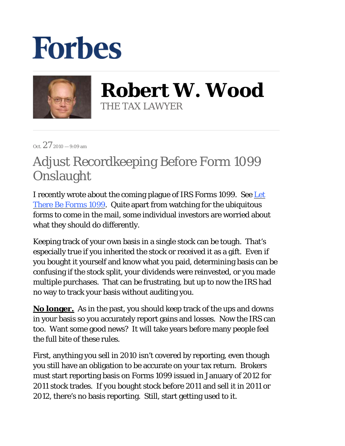## **Forbes**



**Robert W. Wood** THE TAX LAWYER

Oct.  $27$  2010 – 9:09 am

## Adjust Recordkeeping Before Form 1099 Onslaught

I recently wrote about the coming plague of IRS Forms 1099. See Let There Be Forms 1099. Quite apart from watching for the ubiquitous forms to come in the mail, some individual investors are worried about what they should do differently.

Keeping track of your own basis in a single stock can be tough. That's especially true if you inherited the stock or received it as a gift. Even if you bought it yourself and know what you paid, determining basis can be confusing if the stock split, your dividends were reinvested, or you made multiple purchases. That can be frustrating, but up to now the IRS had no way to track your basis without auditing you.

**No longer.** As in the past, you should keep track of the ups and downs in your basis so you accurately report gains and losses. Now the IRS can too. Want some good news? It will take years before many people feel the full bite of these rules.

First, anything you sell in 2010 isn't covered by reporting, even though you still have an obligation to be accurate on your tax return. Brokers must start reporting basis on Forms 1099 issued in January of 2012 for 2011 stock trades. If you bought stock before 2011 and sell it in 2011 or 2012, there's no basis reporting. Still, start getting used to it.